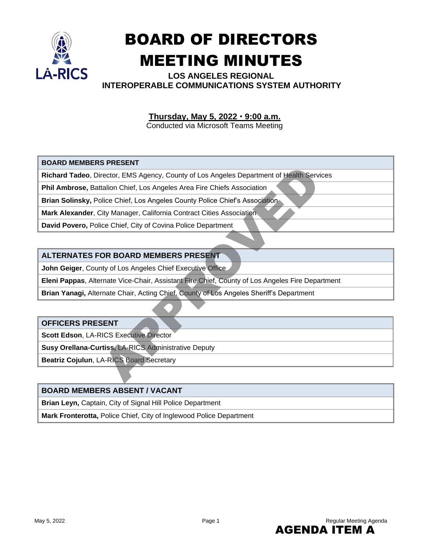

# BOARD OF DIRECTORS MEETING MINUTES

# **LOS ANGELES REGIONAL INTEROPERABLE COMMUNICATIONS SYSTEM AUTHORITY**

**Thursday, May 5, 2022 9:00 a.m.**

Conducted via Microsoft Teams Meeting

**BOARD MEMBERS PRESENT**

**Richard Tadeo**, Director, EMS Agency, County of Los Angeles Department of Health Services

**Phil Ambrose,** Battalion Chief, Los Angeles Area Fire Chiefs Association

**Brian Solinsky, Police Chief, Los Angeles County Police Chief's Association** 

**Mark Alexander**, City Manager, California Contract Cities Association

**David Povero,** Police Chief, City of Covina Police Department

#### **ALTERNATES FOR BOARD MEMBERS PRESENT**

**John Geiger, County of Los Angeles Chief Executive Office** 

**Eleni Pappas**, Alternate Vice-Chair, Assistant Fire Chief, County of Los Angeles Fire Department rector, EMS Agency, County of Los Angeles Department of Health Services<br>
Italion Chief, Los Angeles Chen Fire Chiefs Association<br>
Higher Chief, Chief Agency California Contract Chies Association<br>
Italy of Los Angeles Chief

**Brian Yanagi,** Alternate Chair, Acting Chief, County of Los Angeles Sheriff's Department

**OFFICERS PRESENT**

**Scott Edson**, LA-RICS Executive Director

**Susy Orellana-Curtiss,** LA-RICS Administrative Deputy

**Beatriz Cojulun**, LA-RICS Board Secretary

#### **BOARD MEMBERS ABSENT / VACANT**

**Brian Leyn,** Captain, City of Signal Hill Police Department

**Mark Fronterotta,** Police Chief, City of Inglewood Police Department

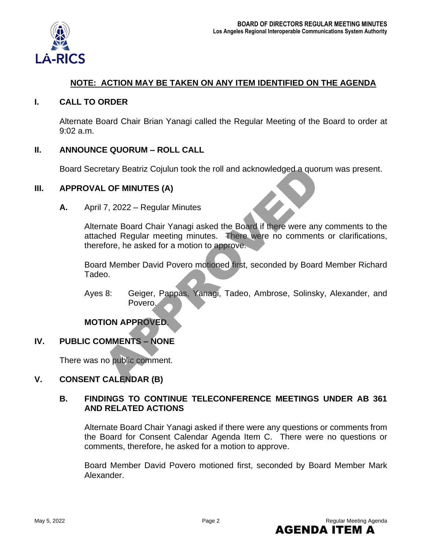

## **NOTE: ACTION MAY BE TAKEN ON ANY ITEM IDENTIFIED ON THE AGENDA**

#### **I. CALL TO ORDER**

Alternate Board Chair Brian Yanagi called the Regular Meeting of the Board to order at 9:02 a.m.

#### **II. ANNOUNCE QUORUM – ROLL CALL**

Board Secretary Beatriz Cojulun took the roll and acknowledged a quorum was present.

#### **III. APPROVAL OF MINUTES (A)**

**A.** April 7, 2022 – Regular Minutes

Alternate Board Chair Yanagi asked the Board if there were any comments to the attached Regular meeting minutes. There were no comments or clarifications, therefore, he asked for a motion to approve. etary Beatriz Cojulun took the roll and acknowledged a quorum was presented on<br>
T. 2022 – Regular Minutes<br>
T. 2022 – Regular Minutes<br>
T. 2022 – Regular minutes<br>
and Board Chair Yanagi asked the Board if there were any comm

Board Member David Povero motioned first, seconded by Board Member Richard Tadeo.

Ayes 8: Geiger, Pappas, Yanagi, Tadeo, Ambrose, Solinsky, Alexander, and Povero.

# **MOTION APPROVED**.

## **IV. PUBLIC COMMENTS – NONE**

There was no public comment.

## **V. CONSENT CALENDAR (B)**

## **B. FINDINGS TO CONTINUE TELECONFERENCE MEETINGS UNDER AB 361 AND RELATED ACTIONS**

Alternate Board Chair Yanagi asked if there were any questions or comments from the Board for Consent Calendar Agenda Item C. There were no questions or comments, therefore, he asked for a motion to approve.

Board Member David Povero motioned first, seconded by Board Member Mark Alexander.

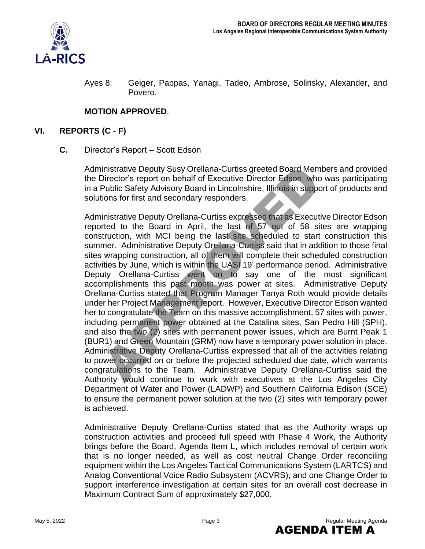

Ayes 8: Geiger, Pappas, Yanagi, Tadeo, Ambrose, Solinsky, Alexander, and Povero.

## **MOTION APPROVED**.

## **VI. REPORTS (C - F)**

**C.** Director's Report – Scott Edson

Administrative Deputy Susy Orellana-Curtiss greeted Board Members and provided the Director's report on behalf of Executive Director Edson, who was participating in a Public Safety Advisory Board in Lincolnshire, Illinois in support of products and solutions for first and secondary responders.

Administrative Deputy Orellana-Curtiss expressed that as Executive Director Edson reported to the Board in April, the last of 57 out of 58 sites are wrapping construction, with MCI being the last site scheduled to start construction this summer. Administrative Deputy Orellana-Curtiss said that in addition to those final sites wrapping construction, all of them will complete their scheduled construction activities by June, which is within the UASI 19' performance period. Administrative Deputy Orellana-Curtiss went on to say one of the most significant accomplishments this past month was power at sites. Administrative Deputy Orellana-Curtiss stated that Program Manager Tanya Roth would provide details under her Project Management report. However, Executive Director Edson wanted her to congratulate the Team on this massive accomplishment, 57 sites with power, including permanent power obtained at the Catalina sites, San Pedro Hill (SPH), and also the two (2) sites with permanent power issues, which are Burnt Peak 1 (BUR1) and Green Mountain (GRM) now have a temporary power solution in place. Administrative Deputy Orellana-Curtiss expressed that all of the activities relating to power occurred on or before the projected scheduled due date, which warrants congratulations to the Team. Administrative Deputy Orellana-Curtiss said the Authority would continue to work with executives at the Los Angeles City Department of Water and Power (LADWP) and Southern California Edison (SCE) to ensure the permanent power solution at the two (2) sites with temporary power is achieved. inistrative Deputy Susy Orellana-Curtiss greeted Board Members and providing in<br>Finctator's report on behalf of Executive Director Edson, Mob was participate<br>Public Safety Advisory Board in Lincolnshire, Illimis in support

Administrative Deputy Orellana-Curtiss stated that as the Authority wraps up construction activities and proceed full speed with Phase 4 Work, the Authority brings before the Board, Agenda Item L, which includes removal of certain work that is no longer needed, as well as cost neutral Change Order reconciling equipment within the Los Angeles Tactical Communications System (LARTCS) and Analog Conventional Voice Radio Subsystem (ACVRS), and one Change Order to support interference investigation at certain sites for an overall cost decrease in Maximum Contract Sum of approximately \$27,000.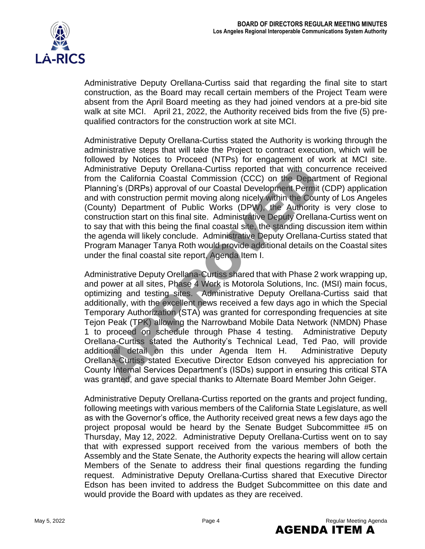

Administrative Deputy Orellana-Curtiss said that regarding the final site to start construction, as the Board may recall certain members of the Project Team were absent from the April Board meeting as they had joined vendors at a pre-bid site walk at site MCI. April 21, 2022, the Authority received bids from the five (5) prequalified contractors for the construction work at site MCI.

Administrative Deputy Orellana-Curtiss stated the Authority is working through the administrative steps that will take the Project to contract execution, which will be followed by Notices to Proceed (NTPs) for engagement of work at MCI site. Administrative Deputy Orellana-Curtiss reported that with concurrence received from the California Coastal Commission (CCC) on the Department of Regional Planning's (DRPs) approval of our Coastal Development Permit (CDP) application and with construction permit moving along nicely within the County of Los Angeles (County) Department of Public Works (DPW), the Authority is very close to construction start on this final site. Administrative Deputy Orellana-Curtiss went on to say that with this being the final coastal site, the standing discussion item within the agenda will likely conclude. Administrative Deputy Orellana-Curtiss stated that Program Manager Tanya Roth would provide additional details on the Coastal sites under the final coastal site report, Agenda Item I.

Administrative Deputy Orellana-Curtiss shared that with Phase 2 work wrapping up, and power at all sites, Phase 4 Work is Motorola Solutions, Inc. (MSI) main focus, optimizing and testing sites. Administrative Deputy Orellana-Curtiss said that additionally, with the excellent news received a few days ago in which the Special Temporary Authorization (STA) was granted for corresponding frequencies at site Tejon Peak (TPK) allowing the Narrowband Mobile Data Network (NMDN) Phase 1 to proceed on schedule through Phase 4 testing. Administrative Deputy Orellana-Curtiss stated the Authority's Technical Lead, Ted Pao, will provide additional detail on this under Agenda Item H. Administrative Deputy Orellana-Curtiss stated Executive Director Edson conveyed his appreciation for County Internal Services Department's (ISDs) support in ensuring this critical STA was granted, and gave special thanks to Alternate Board Member John Geiger. inistrative Deputy Orellana-Curtiss reported that with concurrence received that with continuous and the California Coastal Development Permit (CDP) applicating's (DRPs) approval of our Coastal Development Permit (CDP) app

Administrative Deputy Orellana-Curtiss reported on the grants and project funding, following meetings with various members of the California State Legislature, as well as with the Governor's office, the Authority received great news a few days ago the project proposal would be heard by the Senate Budget Subcommittee #5 on Thursday, May 12, 2022. Administrative Deputy Orellana-Curtiss went on to say that with expressed support received from the various members of both the Assembly and the State Senate, the Authority expects the hearing will allow certain Members of the Senate to address their final questions regarding the funding request. Administrative Deputy Orellana-Curtiss shared that Executive Director Edson has been invited to address the Budget Subcommittee on this date and would provide the Board with updates as they are received.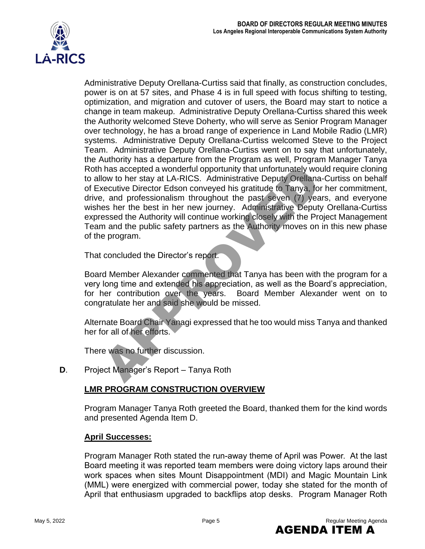

Administrative Deputy Orellana-Curtiss said that finally, as construction concludes, power is on at 57 sites, and Phase 4 is in full speed with focus shifting to testing, optimization, and migration and cutover of users, the Board may start to notice a change in team makeup. Administrative Deputy Orellana-Curtiss shared this week the Authority welcomed Steve Doherty, who will serve as Senior Program Manager over technology, he has a broad range of experience in Land Mobile Radio (LMR) systems. Administrative Deputy Orellana-Curtiss welcomed Steve to the Project Team. Administrative Deputy Orellana-Curtiss went on to say that unfortunately, the Authority has a departure from the Program as well, Program Manager Tanya Roth has accepted a wonderful opportunity that unfortunately would require cloning to allow to her stay at LA-RICS. Administrative Deputy Orellana-Curtiss on behalf of Executive Director Edson conveyed his gratitude to Tanya, for her commitment, drive, and professionalism throughout the past seven (7) years, and everyone wishes her the best in her new journey. Administrative Deputy Orellana-Curtiss expressed the Authority will continue working closely with the Project Management Team and the public safety partners as the Authority moves on in this new phase of the program. In as accepted a wonderful opportunity that unfortunately would require cloring the most and professionalism throughout the past seven, (*P*) years, and every the cecutive Director Edson conveyed his gratitude for Tanya, f

That concluded the Director's report.

Board Member Alexander commented that Tanya has been with the program for a very long time and extended his appreciation, as well as the Board's appreciation, for her contribution over the years. Board Member Alexander went on to congratulate her and said she would be missed.

Alternate Board Chair Yanagi expressed that he too would miss Tanya and thanked her for all of her efforts.

There was no further discussion.

**D**. Project Manager's Report – Tanya Roth

## **LMR PROGRAM CONSTRUCTION OVERVIEW**

Program Manager Tanya Roth greeted the Board, thanked them for the kind words and presented Agenda Item D.

#### **April Successes:**

Program Manager Roth stated the run-away theme of April was Power. At the last Board meeting it was reported team members were doing victory laps around their work spaces when sites Mount Disappointment (MDI) and Magic Mountain Link (MML) were energized with commercial power, today she stated for the month of April that enthusiasm upgraded to backflips atop desks. Program Manager Roth

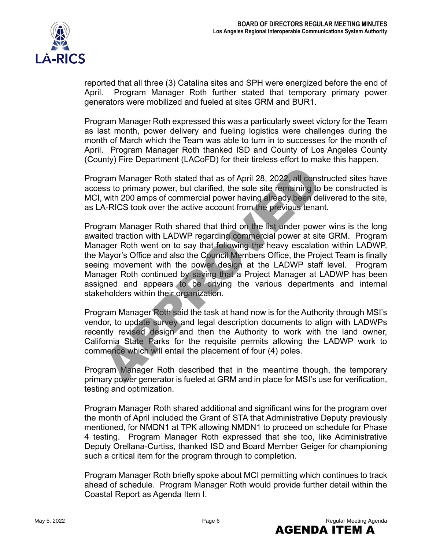

reported that all three (3) Catalina sites and SPH were energized before the end of April. Program Manager Roth further stated that temporary primary power generators were mobilized and fueled at sites GRM and BUR1.

Program Manager Roth expressed this was a particularly sweet victory for the Team as last month, power delivery and fueling logistics were challenges during the month of March which the Team was able to turn in to successes for the month of April. Program Manager Roth thanked ISD and County of Los Angeles County (County) Fire Department (LACoFD) for their tireless effort to make this happen.

Program Manager Roth stated that as of April 28, 2022, all constructed sites have access to primary power, but clarified, the sole site remaining to be constructed is MCI, with 200 amps of commercial power having already been delivered to the site, as LA-RICS took over the active account from the previous tenant.

Program Manager Roth shared that third on the list under power wins is the long awaited traction with LADWP regarding commercial power at site GRM. Program Manager Roth went on to say that following the heavy escalation within LADWP, the Mayor's Office and also the Council Members Office, the Project Team is finally seeing movement with the power design at the LADWP staff level. Program Manager Roth continued by saying that a Project Manager at LADWP has been assigned and appears to be driving the various departments and internal stakeholders within their organization. Iram Manager Roth stated that as of April 28. 2022, all constructed sites is<br>st to primary power, but clarified, the sole site remaining to be constructed<br>with 200 amps of commercial power having algearly been detivered to

Program Manager Roth said the task at hand now is for the Authority through MSI's vendor, to update survey and legal description documents to align with LADWPs recently revised design and then the Authority to work with the land owner, California State Parks for the requisite permits allowing the LADWP work to commence which will entail the placement of four (4) poles.

Program Manager Roth described that in the meantime though, the temporary primary power generator is fueled at GRM and in place for MSI's use for verification, testing and optimization.

Program Manager Roth shared additional and significant wins for the program over the month of April included the Grant of STA that Administrative Deputy previously mentioned, for NMDN1 at TPK allowing NMDN1 to proceed on schedule for Phase 4 testing. Program Manager Roth expressed that she too, like Administrative Deputy Orellana-Curtiss, thanked ISD and Board Member Geiger for championing such a critical item for the program through to completion.

Program Manager Roth briefly spoke about MCI permitting which continues to track ahead of schedule. Program Manager Roth would provide further detail within the Coastal Report as Agenda Item I.

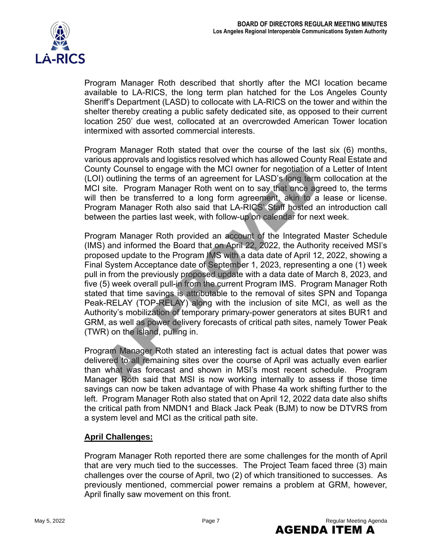

Program Manager Roth described that shortly after the MCI location became available to LA-RICS, the long term plan hatched for the Los Angeles County Sheriff's Department (LASD) to collocate with LA-RICS on the tower and within the shelter thereby creating a public safety dedicated site, as opposed to their current location 250' due west, collocated at an overcrowded American Tower location intermixed with assorted commercial interests.

Program Manager Roth stated that over the course of the last six (6) months, various approvals and logistics resolved which has allowed County Real Estate and County Counsel to engage with the MCI owner for negotiation of a Letter of Intent (LOI) outlining the terms of an agreement for LASD's long term collocation at the MCI site. Program Manager Roth went on to say that once agreed to, the terms will then be transferred to a long form agreement, akin to a lease or license. Program Manager Roth also said that LA-RICS' Staff hosted an introduction call between the parties last week, with follow-up on calendar for next week.

Program Manager Roth provided an account of the Integrated Master Schedule (IMS) and informed the Board that on April 22, 2022, the Authority received MSI's proposed update to the Program IMS with a data date of April 12, 2022, showing a Final System Acceptance date of September 1, 2023, representing a one (1) week pull in from the previously proposed update with a data date of March 8, 2023, and five (5) week overall pull-in from the current Program IMS. Program Manager Roth stated that time savings is attributable to the removal of sites SPN and Topanga Peak-RELAY (TOP-RELAY) along with the inclusion of site MCI, as well as the Authority's mobilization of temporary primary-power generators at sites BUR1 and GRM, as well as power delivery forecasts of critical path sites, namely Tower Peak (TWR) on the island, pulling in. Thy Counsel to engage with the MCI ower for negotiation of a Letter of interaction of the measurement or LASD's long term collocation at<br>site. Program Manager Roth went on to say that ance agreed to, the term<br>from the term

Program Manager Roth stated an interesting fact is actual dates that power was delivered to all remaining sites over the course of April was actually even earlier than what was forecast and shown in MSI's most recent schedule. Program Manager Roth said that MSI is now working internally to assess if those time savings can now be taken advantage of with Phase 4a work shifting further to the left. Program Manager Roth also stated that on April 12, 2022 data date also shifts the critical path from NMDN1 and Black Jack Peak (BJM) to now be DTVRS from a system level and MCI as the critical path site.

## **April Challenges:**

Program Manager Roth reported there are some challenges for the month of April that are very much tied to the successes. The Project Team faced three (3) main challenges over the course of April, two (2) of which transitioned to successes. As previously mentioned, commercial power remains a problem at GRM, however, April finally saw movement on this front.

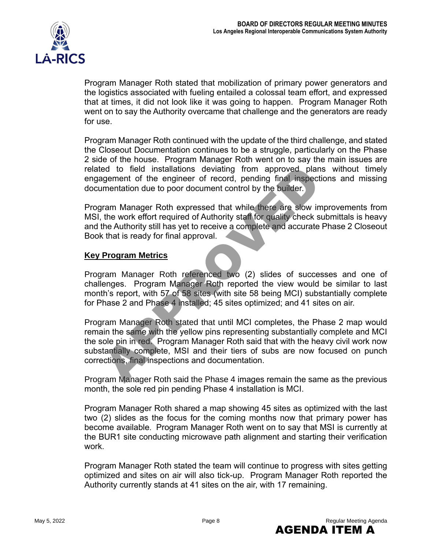

Program Manager Roth stated that mobilization of primary power generators and the logistics associated with fueling entailed a colossal team effort, and expressed that at times, it did not look like it was going to happen. Program Manager Roth went on to say the Authority overcame that challenge and the generators are ready for use.

Program Manager Roth continued with the update of the third challenge, and stated the Closeout Documentation continues to be a struggle, particularly on the Phase 2 side of the house. Program Manager Roth went on to say the main issues are related to field installations deviating from approved plans without timely engagement of the engineer of record, pending final inspections and missing documentation due to poor document control by the builder.

Program Manager Roth expressed that while there are slow improvements from MSI, the work effort required of Authority staff for quality check submittals is heavy and the Authority still has yet to receive a complete and accurate Phase 2 Closeout Book that is ready for final approval.

## **Key Program Metrics**

Program Manager Roth referenced two (2) slides of successes and one of challenges. Program Manager Roth reported the view would be similar to last month's report, with 57 of 58 sites (with site 58 being MCI) substantially complete for Phase 2 and Phase 4 installed; 45 sites optimized; and 41 sites on air.

Program Manager Roth stated that until MCI completes, the Phase 2 map would remain the same with the yellow pins representing substantially complete and MCI the sole pin in red. Program Manager Roth said that with the heavy civil work now substantially complete, MSI and their tiers of subs are now focused on punch corrections, final inspections and documentation. ed to field installations deviating from approved plane without this<br>ingernent of the engineer of record, pending final inspections and miss<br>membration due to poor document control by the builder.<br>The wonk effort required

Program Manager Roth said the Phase 4 images remain the same as the previous month, the sole red pin pending Phase 4 installation is MCI.

Program Manager Roth shared a map showing 45 sites as optimized with the last two (2) slides as the focus for the coming months now that primary power has become available. Program Manager Roth went on to say that MSI is currently at the BUR1 site conducting microwave path alignment and starting their verification work.

Program Manager Roth stated the team will continue to progress with sites getting optimized and sites on air will also tick-up. Program Manager Roth reported the Authority currently stands at 41 sites on the air, with 17 remaining.

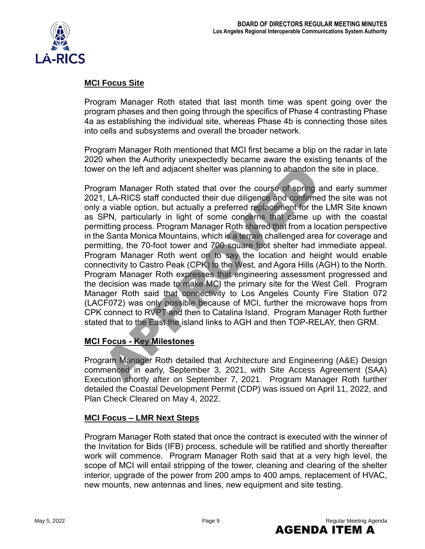

## **MCI Focus Site**

Program Manager Roth stated that last month time was spent going over the program phases and then going through the specifics of Phase 4 contrasting Phase 4a as establishing the individual site, whereas Phase 4b is connecting those sites into cells and subsystems and overall the broader network.

Program Manager Roth mentioned that MCI first became a blip on the radar in late 2020 when the Authority unexpectedly became aware the existing tenants of the tower on the left and adjacent shelter was planning to abandon the site in place.

Program Manager Roth stated that over the course of spring and early summer 2021, LA-RICS staff conducted their due diligence and confirmed the site was not only a viable option, but actually a preferred replacement for the LMR Site known as SPN, particularly in light of some concerns that came up with the coastal permitting process. Program Manager Roth shared that from a location perspective in the Santa Monica Mountains, which is a terrain challenged area for coverage and permitting, the 70-foot tower and 700 square foot shelter had immediate appeal. Program Manager Roth went on to say the location and height would enable connectivity to Castro Peak (CPK) to the West, and Agora Hills (AGH) to the North. Program Manager Roth expresses that engineering assessment progressed and the decision was made to make MCI the primary site for the West Cell. Program Manager Roth said that connectivity to Los Angeles County Fire Station 072 (LACF072) was only possible because of MCI, further the microwave hops from CPK connect to RVPT and then to Catalina Island. Program Manager Roth further stated that to the East the island links to AGH and then TOP-RELAY, then GRM. r on the left and adjacent shelter was planning to abandon the site in place<br>
In Manager Roth stated that over the course of spring and early sum<br>
1. LA-RICS staff conducted their due diligence and confirmed the site was<br>

# **MCI Focus - Key Milestones**

Program Manager Roth detailed that Architecture and Engineering (A&E) Design commenced in early, September 3, 2021, with Site Access Agreement (SAA) Execution shortly after on September 7, 2021. Program Manager Roth further detailed the Coastal Development Permit (CDP) was issued on April 11, 2022, and Plan Check Cleared on May 4, 2022.

## **MCI Focus – LMR Next Steps**

Program Manager Roth stated that once the contract is executed with the winner of the Invitation for Bids (IFB) process, schedule will be ratified and shortly thereafter work will commence. Program Manager Roth said that at a very high level, the scope of MCI will entail stripping of the tower, cleaning and clearing of the shelter interior, upgrade of the power from 200 amps to 400 amps, replacement of HVAC, new mounts, new antennas and lines, new equipment and site testing.

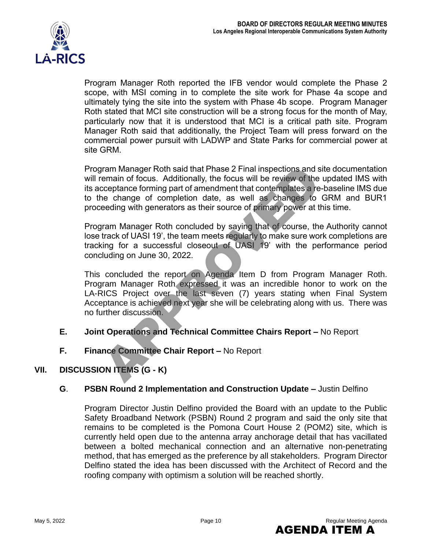

Program Manager Roth reported the IFB vendor would complete the Phase 2 scope, with MSI coming in to complete the site work for Phase 4a scope and ultimately tying the site into the system with Phase 4b scope. Program Manager Roth stated that MCI site construction will be a strong focus for the month of May, particularly now that it is understood that MCI is a critical path site. Program Manager Roth said that additionally, the Project Team will press forward on the commercial power pursuit with LADWP and State Parks for commercial power at site GRM.

Program Manager Roth said that Phase 2 Final inspections and site documentation will remain of focus. Additionally, the focus will be review of the updated IMS with its acceptance forming part of amendment that contemplates a re-baseline IMS due to the change of completion date, as well as changes to GRM and BUR1 proceeding with generators as their source of primary power at this time.

Program Manager Roth concluded by saying that of course, the Authority cannot lose track of UASI 19', the team meets regularly to make sure work completions are tracking for a successful closeout of UASI 19' with the performance period concluding on June 30, 2022.

This concluded the report on Agenda Item D from Program Manager Roth. Program Manager Roth expressed it was an incredible honor to work on the LA-RICS Project over the last seven (7) years stating when Final System Acceptance is achieved next year she will be celebrating along with us. There was no further discussion.

- **E. Joint Operations and Technical Committee Chairs Report –** No Report
- **F. Finance Committee Chair Report –** No Report

# **VII. DISCUSSION ITEMS (G - K)**

## **G**. **PSBN Round 2 Implementation and Construction Update –** Justin Delfino

Program Director Justin Delfino provided the Board with an update to the Public Safety Broadband Network (PSBN) Round 2 program and said the only site that remains to be completed is the Pomona Court House 2 (POM2) site, which is currently held open due to the antenna array anchorage detail that has vacillated between a bolted mechanical connection and an alternative non-penetrating method, that has emerged as the preference by all stakeholders. Program Director Delfino stated the idea has been discussed with the Architect of Record and the roofing company with optimism a solution will be reached shortly. m Manager Roth said that Phase 2 Final inspections and site documentation<br>remain of focus. Additionally, the focus will be review of the updated IMS vceptance forming part of annendment that contemplates a re-baseline IMS

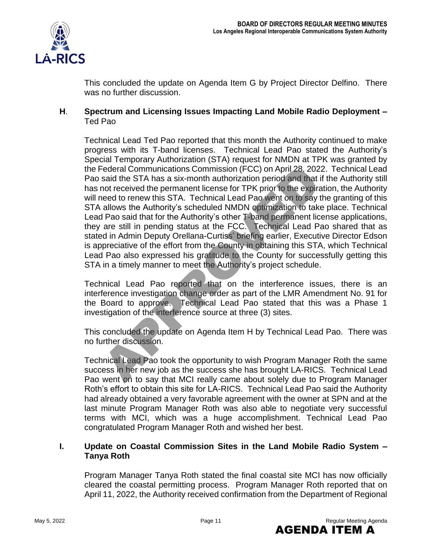

This concluded the update on Agenda Item G by Project Director Delfino. There was no further discussion.

## **H**. **Spectrum and Licensing Issues Impacting Land Mobile Radio Deployment –**  Ted Pao

Technical Lead Ted Pao reported that this month the Authority continued to make progress with its T-band licenses. Technical Lead Pao stated the Authority's Special Temporary Authorization (STA) request for NMDN at TPK was granted by the Federal Communications Commission (FCC) on April 28, 2022. Technical Lead Pao said the STA has a six-month authorization period and that if the Authority still has not received the permanent license for TPK prior to the expiration, the Authority will need to renew this STA. Technical Lead Pao went on to say the granting of this STA allows the Authority's scheduled NMDN optimization to take place. Technical Lead Pao said that for the Authority's other T-band permanent license applications, they are still in pending status at the FCC. Technical Lead Pao shared that as stated in Admin Deputy Orellana-Curtiss' briefing earlier, Executive Director Edson is appreciative of the effort from the County in obtaining this STA, which Technical Lead Pao also expressed his gratitude to the County for successfully getting this STA in a timely manner to meet the Authority's project schedule. Federal Communications Commission (FCC) on April 28, 2022. Technical Lead Paya the STA has a six-month authorization period and that if the Authority of the second to renew this STA. Technical Lead Fay April 2012. Technica

Technical Lead Pao reported that on the interference issues, there is an interference investigation change order as part of the LMR Amendment No. 91 for the Board to approve. Technical Lead Pao stated that this was a Phase 1 investigation of the interference source at three (3) sites.

This concluded the update on Agenda Item H by Technical Lead Pao. There was no further discussion.

Technical Lead Pao took the opportunity to wish Program Manager Roth the same success in her new job as the success she has brought LA-RICS. Technical Lead Pao went on to say that MCI really came about solely due to Program Manager Roth's effort to obtain this site for LA-RICS. Technical Lead Pao said the Authority had already obtained a very favorable agreement with the owner at SPN and at the last minute Program Manager Roth was also able to negotiate very successful terms with MCI, which was a huge accomplishment. Technical Lead Pao congratulated Program Manager Roth and wished her best.

## **I. Update on Coastal Commission Sites in the Land Mobile Radio System – Tanya Roth**

Program Manager Tanya Roth stated the final coastal site MCI has now officially cleared the coastal permitting process. Program Manager Roth reported that on April 11, 2022, the Authority received confirmation from the Department of Regional

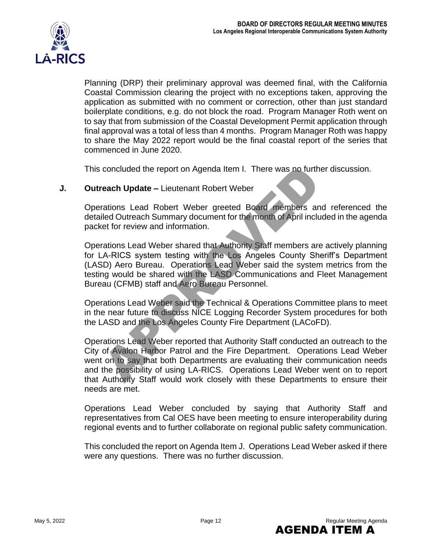

Planning (DRP) their preliminary approval was deemed final, with the California Coastal Commission clearing the project with no exceptions taken, approving the application as submitted with no comment or correction, other than just standard boilerplate conditions, e.g. do not block the road. Program Manager Roth went on to say that from submission of the Coastal Development Permit application through final approval was a total of less than 4 months. Program Manager Roth was happy to share the May 2022 report would be the final coastal report of the series that commenced in June 2020.

This concluded the report on Agenda Item I. There was no further discussion.

## **J. Outreach Update –** Lieutenant Robert Weber

Operations Lead Robert Weber greeted Board members and referenced the detailed Outreach Summary document for the month of April included in the agenda packet for review and information.

Operations Lead Weber shared that Authority Staff members are actively planning for LA-RICS system testing with the Los Angeles County Sheriff's Department (LASD) Aero Bureau. Operations Lead Weber said the system metrics from the testing would be shared with the LASD Communications and Fleet Management Bureau (CFMB) staff and Aero Bureau Personnel.

Operations Lead Weber said the Technical & Operations Committee plans to meet in the near future to discuss NICE Logging Recorder System procedures for both the LASD and the Los Angeles County Fire Department (LACoFD).

Operations Lead Weber reported that Authority Staff conducted an outreach to the City of Avalon Harbor Patrol and the Fire Department. Operations Lead Weber went on to say that both Departments are evaluating their communication needs and the possibility of using LA-RICS. Operations Lead Weber went on to report that Authority Staff would work closely with these Departments to ensure their needs are met. concluded the report on Agenda Item I. There was no further discussion.<br>
each Update – Lieutenant Robert Weber<br>
rations Lead Robert Weber<br>
rations Lead Robert Weber<br>
rations Lead Orberach Summary document for the month of

Operations Lead Weber concluded by saying that Authority Staff and representatives from Cal OES have been meeting to ensure interoperability during regional events and to further collaborate on regional public safety communication.

This concluded the report on Agenda Item J. Operations Lead Weber asked if there were any questions. There was no further discussion.

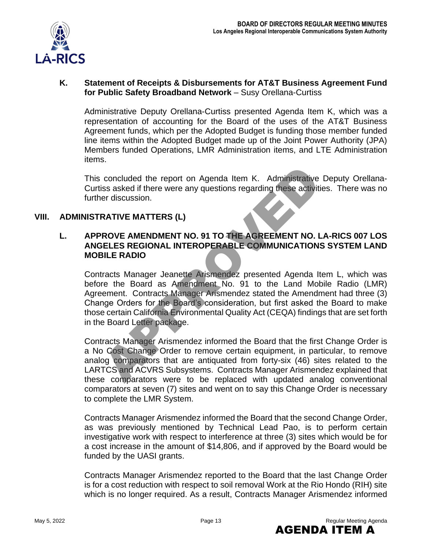

## **K. Statement of Receipts & Disbursements for AT&T Business Agreement Fund for Public Safety Broadband Network** – Susy Orellana-Curtiss

Administrative Deputy Orellana-Curtiss presented Agenda Item K, which was a representation of accounting for the Board of the uses of the AT&T Business Agreement funds, which per the Adopted Budget is funding those member funded line items within the Adopted Budget made up of the Joint Power Authority (JPA) Members funded Operations, LMR Administration items, and LTE Administration items.

This concluded the report on Agenda Item K. Administrative Deputy Orellana-Curtiss asked if there were any questions regarding these activities. There was no further discussion.

## **VIII. ADMINISTRATIVE MATTERS (L)**

## **L. APPROVE AMENDMENT NO. 91 TO THE AGREEMENT NO. LA-RICS 007 LOS ANGELES REGIONAL INTEROPERABLE COMMUNICATIONS SYSTEM LAND MOBILE RADIO**

Contracts Manager Jeanette Arismendez presented Agenda Item L, which was before the Board as Amendment No. 91 to the Land Mobile Radio (LMR) Agreement. Contracts Manager Arismendez stated the Amendment had three (3) Change Orders for the Board's consideration, but first asked the Board to make those certain California Environmental Quality Act (CEQA) findings that are set forth in the Board Letter package.

Contracts Manager Arismendez informed the Board that the first Change Order is a No Cost Change Order to remove certain equipment, in particular, to remove analog comparators that are antiquated from forty-six (46) sites related to the LARTCS and ACVRS Subsystems. Contracts Manager Arismendez explained that these comparators were to be replaced with updated analog conventional comparators at seven (7) sites and went on to say this Change Order is necessary to complete the LMR System. concluded the report on Agenda Item K. Administrative Deputy Orellass asked if there were any questions regarding these activities. There was<br>
RATIVE MATTERS (L)<br>
ROWE AMENDMENT NO. 91 TO THE AGREEMENT NO. LA-RICS 007 L<br>
R

Contracts Manager Arismendez informed the Board that the second Change Order, as was previously mentioned by Technical Lead Pao, is to perform certain investigative work with respect to interference at three (3) sites which would be for a cost increase in the amount of \$14,806, and if approved by the Board would be funded by the UASI grants.

Contracts Manager Arismendez reported to the Board that the last Change Order is for a cost reduction with respect to soil removal Work at the Rio Hondo (RIH) site which is no longer required. As a result, Contracts Manager Arismendez informed

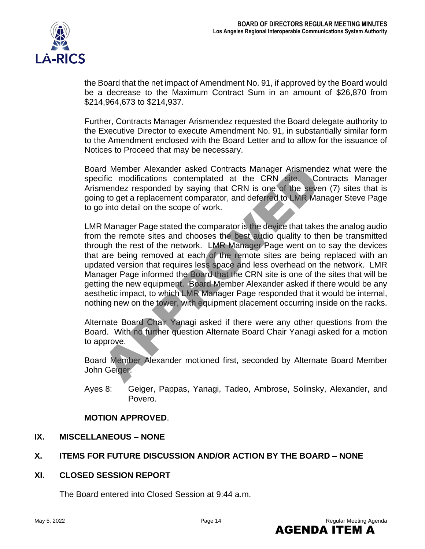

the Board that the net impact of Amendment No. 91, if approved by the Board would be a decrease to the Maximum Contract Sum in an amount of \$26,870 from \$214,964,673 to \$214,937.

Further, Contracts Manager Arismendez requested the Board delegate authority to the Executive Director to execute Amendment No. 91, in substantially similar form to the Amendment enclosed with the Board Letter and to allow for the issuance of Notices to Proceed that may be necessary.

Board Member Alexander asked Contracts Manager Arismendez what were the specific modifications contemplated at the CRN site. Contracts Manager Arismendez responded by saying that CRN is one of the seven (7) sites that is going to get a replacement comparator, and deferred to LMR Manager Steve Page to go into detail on the scope of work.

LMR Manager Page stated the comparator is the device that takes the analog audio from the remote sites and chooses the best audio quality to then be transmitted through the rest of the network. LMR Manager Page went on to say the devices that are being removed at each of the remote sites are being replaced with an updated version that requires less space and less overhead on the network. LMR Manager Page informed the Board that the CRN site is one of the sites that will be getting the new equipment. Board Member Alexander asked if there would be any aesthetic impact, to which LMR Manager Page responded that it would be internal, nothing new on the tower, with equipment placement occurring inside on the racks. Member Alexander asked Contracts Manager *Prisonences what were*<br>
diffic modifications contemplated at the CRN site. Contracts Manager<br>
and the CRN site (of the seven (7) sites that<br>
and and az responded by saying that GRN

Alternate Board Chair Yanagi asked if there were any other questions from the Board. With no further question Alternate Board Chair Yanagi asked for a motion to approve.

Board Member Alexander motioned first, seconded by Alternate Board Member John Geiger.

Ayes 8: Geiger, Pappas, Yanagi, Tadeo, Ambrose, Solinsky, Alexander, and Povero.

# **MOTION APPROVED**.

## **IX. MISCELLANEOUS – NONE**

## **X. ITEMS FOR FUTURE DISCUSSION AND/OR ACTION BY THE BOARD – NONE**

## **XI. CLOSED SESSION REPORT**

The Board entered into Closed Session at 9:44 a.m.